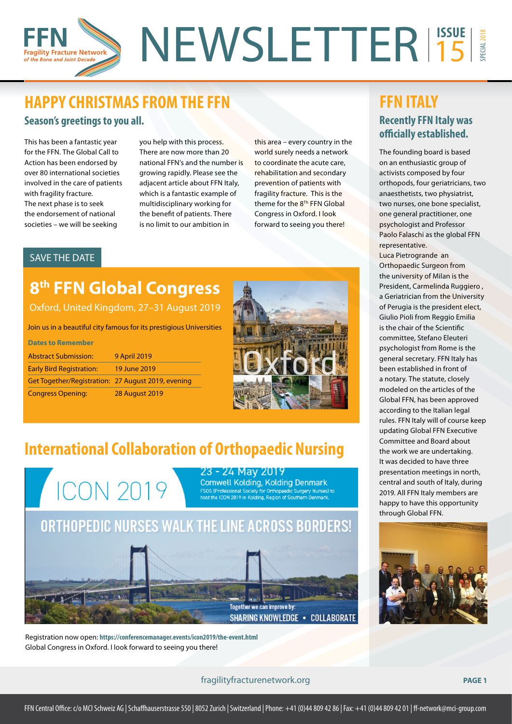### NEWSLETTER<sup>15SUE</sup> SPECIAL 2018 15 gility Fracture Network of the Bone and Joint Decad

### **HAPPY CHRISTMAS FROM THE FFN Season's greetings to you all.**

This has been a fantastic year for the FFN. The Global Call to Action has been endorsed by over 80 international societies involved in the care of patients with fragility fracture. The next phase is to seek the endorsement of national societies – we will be seeking

you help with this process. There are now more than 20 national FFN's and the number is growing rapidly. Please see the adjacent article about FFN Italy, which is a fantastic example of multidisciplinary working for the benefit of patients. There is no limit to our ambition in

this area – every country in the world surely needs a network to coordinate the acute care, rehabilitation and secondary prevention of patients with fragility fracture. This is the theme for the 8<sup>Th</sup> FFN Global Congress in Oxford. I look forward to seeing you there!

### SAVE THE DATE

# **8th FFN Global Congress**

Oxford, United Kingdom, 27–31 August 2019

Join us in a beautiful city famous for its prestigious Universities

| <b>Dates to Remember</b>                           |                       |
|----------------------------------------------------|-----------------------|
| <b>Abstract Submission:</b>                        | <b>9 April 2019</b>   |
| <b>Early Bird Registration:</b>                    | 19 June 2019          |
| Get Together/Registration: 27 August 2019, evening |                       |
| <b>Congress Opening:</b>                           | <b>28 August 2019</b> |



# **International Collaboration of Orthopaedic Nursing**



Registration now open: **https://conferencemanager.events/icon2019/the-event.html** Global Congress in Oxford. I look forward to seeing you there!

#### fragilityfracturenetwork.org **PAGE 1**

**FFN ITALY Recently FFN Italy was officially established.** 

The founding board is based on an enthusiastic group of activists composed by four orthopods, four geriatricians, two anaesthetists, two physiatrist, two nurses, one bone specialist, one general practitioner, one psychologist and Professor Paolo Falaschi as the global FFN representative.

Luca Pietrogrande an Orthopaedic Surgeon from the university of Milan is the President, Carmelinda Ruggiero , a Geriatrician from the University of Perugia is the president elect, Giulio Pioli from Reggio Emilia is the chair of the Scientific committee, Stefano Eleuteri psychologist from Rome is the general secretary. FFN Italy has been established in front of a notary. The statute, closely modeled on the articles of the Global FFN, has been approved according to the Italian legal rules. FFN Italy will of course keep updating Global FFN Executive Committee and Board about the work we are undertaking. It was decided to have three presentation meetings in north, central and south of Italy, during 2019. All FFN Italy members are happy to have this opportunity through Global FFN.

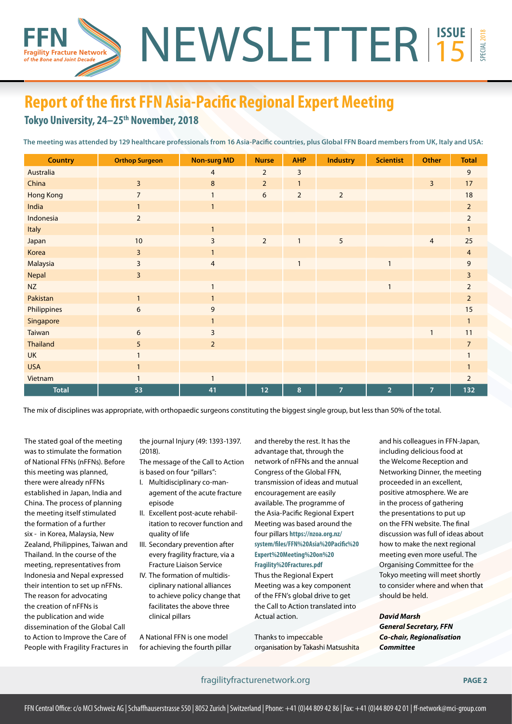# **Report of the first FFN Asia-Pacific Regional Expert Meeting**

### Tokyo University, 24-25<sup>th</sup> November, 2018

gility Fracture Network of the Bone and Joint Decade

**The meeting was attended by 129 healthcare professionals from 16 Asia-Pacific countries, plus Global FFN Board members from UK, Italy and USA:**

NEWSLETTER<sup>15SUE</sup>

| <b>Country</b>   | <b>Orthop Surgeon</b> | <b>Non-surg MD</b> | <b>Nurse</b>   | <b>AHP</b>     | <b>Industry</b> | <b>Scientist</b> | <b>Other</b>   | <b>Total</b>            |
|------------------|-----------------------|--------------------|----------------|----------------|-----------------|------------------|----------------|-------------------------|
| Australia        |                       | $\overline{4}$     | $\overline{2}$ | 3              |                 |                  |                | 9                       |
| China            | $\overline{3}$        | 8                  | $\overline{2}$ | $\mathbf{1}$   |                 |                  | $\overline{3}$ | 17                      |
| <b>Hong Kong</b> | $\overline{7}$        |                    | 6              | $\overline{2}$ | $\overline{2}$  |                  |                | 18                      |
| India            |                       | $\mathbf{1}$       |                |                |                 |                  |                | $\overline{2}$          |
| Indonesia        | $\overline{2}$        |                    |                |                |                 |                  |                | $\overline{2}$          |
| Italy            |                       | $\mathbf{1}$       |                |                |                 |                  |                |                         |
| Japan            | 10                    | 3                  | $\overline{2}$ | $\mathbf{1}$   | 5               |                  | $\overline{4}$ | 25                      |
| Korea            | 3                     |                    |                |                |                 |                  |                | $\overline{4}$          |
| Malaysia         | 3                     | $\overline{4}$     |                |                |                 | $\mathbf{1}$     |                | 9                       |
| Nepal            | 3                     |                    |                |                |                 |                  |                | $\overline{\mathbf{3}}$ |
| <b>NZ</b>        |                       |                    |                |                |                 | $\mathbf{1}$     |                | $\overline{2}$          |
| Pakistan         | $\mathbf{1}$          |                    |                |                |                 |                  |                | $\overline{2}$          |
| Philippines      | 6                     | 9                  |                |                |                 |                  |                | 15                      |
| Singapore        |                       |                    |                |                |                 |                  |                | $\mathbf{1}$            |
| Taiwan           | 6                     | 3                  |                |                |                 |                  |                | 11                      |
| <b>Thailand</b>  | 5                     | $\overline{2}$     |                |                |                 |                  |                | $\overline{7}$          |
| <b>UK</b>        |                       |                    |                |                |                 |                  |                |                         |
| <b>USA</b>       |                       |                    |                |                |                 |                  |                |                         |
| Vietnam          |                       | $\mathbf{1}$       |                |                |                 |                  |                | $\overline{2}$          |
| <b>Total</b>     | 53                    | 41                 | 12             | 8              | $\overline{7}$  | $\overline{2}$   | $\overline{7}$ | 132                     |

The mix of disciplines was appropriate, with orthopaedic surgeons constituting the biggest single group, but less than 50% of the total.

The stated goal of the meeting was to stimulate the formation of National FFNs (nFFNs). Before this meeting was planned, there were already nFFNs established in Japan, India and China. The process of planning the meeting itself stimulated the formation of a further six - in Korea, Malaysia, New Zealand, Philippines, Taiwan and Thailand. In the course of the meeting, representatives from Indonesia and Nepal expressed their intention to set up nFFNs. The reason for advocating the creation of nFFNs is the publication and wide dissemination of the Global Call to Action to Improve the Care of People with Fragility Fractures in the journal Injury (49: 1393-1397. (2018).

The message of the Call to Action is based on four "pillars":

- I. Multidisciplinary co-management of the acute fracture episode
- II. Excellent post-acute rehabilitation to recover function and quality of life
- III. Secondary prevention after every fragility fracture, via a Fracture Liaison Service
- IV. The formation of multidisciplinary national alliances to achieve policy change that facilitates the above three clinical pillars

A National FFN is one model for achieving the fourth pillar and thereby the rest. It has the advantage that, through the network of nFFNs and the annual Congress of the Global FFN, transmission of ideas and mutual encouragement are easily available. The programme of the Asia-Pacific Regional Expert Meeting was based around the four pillars **[https://nzoa.org.nz/](https://nzoa.org.nz/system/files/FFN%20Asia%20Pacific%20Expert%20Meeting%20on%20Fragility%20Fractures.pdf) [system/files/FFN%20Asia%20Pacific%20](https://nzoa.org.nz/system/files/FFN%20Asia%20Pacific%20Expert%20Meeting%20on%20Fragility%20Fractures.pdf) [Expert%20Meeting%20on%20](https://nzoa.org.nz/system/files/FFN%20Asia%20Pacific%20Expert%20Meeting%20on%20Fragility%20Fractures.pdf) [Fragility%20Fractures.pdf](https://nzoa.org.nz/system/files/FFN%20Asia%20Pacific%20Expert%20Meeting%20on%20Fragility%20Fractures.pdf)** Thus the Regional Expert Meeting was a key component

of the FFN's global drive to get the Call to Action translated into Actual action.

Thanks to impeccable organisation by Takashi Matsushita and his colleagues in FFN-Japan, including delicious food at the Welcome Reception and Networking Dinner, the meeting proceeded in an excellent, positive atmosphere. We are in the process of gathering the presentations to put up on the FFN website. The final discussion was full of ideas about how to make the next regional meeting even more useful. The Organising Committee for the Tokyo meeting will meet shortly to consider where and when that should be held.

15

SPECIAL 2018

*David Marsh General Secretary, FFN Co-chair, Regionalisation Committee*

fragilityfracturenetwork.org **PAGE 2**